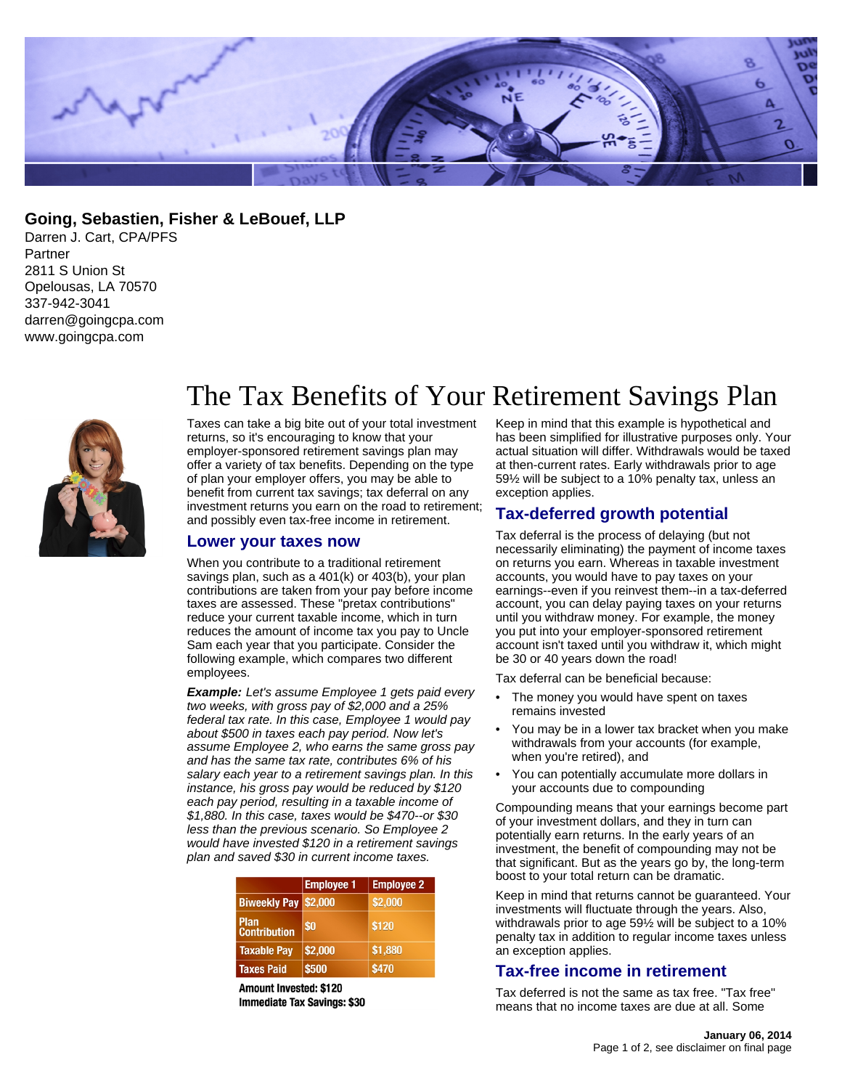

**Going, Sebastien, Fisher & LeBouef, LLP**

Darren J. Cart, CPA/PFS Partner 2811 S Union St Opelousas, LA 70570 337-942-3041 darren@goingcpa.com www.goingcpa.com



# The Tax Benefits of Your Retirement Savings Plan

Taxes can take a big bite out of your total investment returns, so it's encouraging to know that your employer-sponsored retirement savings plan may offer a variety of tax benefits. Depending on the type of plan your employer offers, you may be able to benefit from current tax savings; tax deferral on any investment returns you earn on the road to retirement; and possibly even tax-free income in retirement.

#### **Lower your taxes now**

When you contribute to a traditional retirement savings plan, such as a 401(k) or 403(b), your plan contributions are taken from your pay before income taxes are assessed. These "pretax contributions" reduce your current taxable income, which in turn reduces the amount of income tax you pay to Uncle Sam each year that you participate. Consider the following example, which compares two different employees.

**Example:** Let's assume Employee 1 gets paid every two weeks, with gross pay of \$2,000 and a 25% federal tax rate. In this case, Employee 1 would pay about \$500 in taxes each pay period. Now let's assume Employee 2, who earns the same gross pay and has the same tax rate, contributes 6% of his salary each year to a retirement savings plan. In this instance, his gross pay would be reduced by \$120 each pay period, resulting in a taxable income of \$1,880. In this case, taxes would be \$470--or \$30 less than the previous scenario. So Employee 2 would have invested \$120 in a retirement savings plan and saved \$30 in current income taxes.

|                                    | <b>Employee 1</b> | <b>Employee 2</b> |
|------------------------------------|-------------------|-------------------|
| Biweekly Pay \$2,000               |                   | \$2,000           |
| <b>Plan</b><br><b>Contribution</b> | \$0               | \$120             |
| <b>Taxable Pay</b>                 | \$2,000           | \$1,880           |
| <b>Taxes Paid</b>                  | \$500             | \$470             |

**Amount Invested: \$120 Immediate Tax Savings: \$30**  Keep in mind that this example is hypothetical and has been simplified for illustrative purposes only. Your actual situation will differ. Withdrawals would be taxed at then-current rates. Early withdrawals prior to age 59½ will be subject to a 10% penalty tax, unless an exception applies.

# **Tax-deferred growth potential**

Tax deferral is the process of delaying (but not necessarily eliminating) the payment of income taxes on returns you earn. Whereas in taxable investment accounts, you would have to pay taxes on your earnings--even if you reinvest them--in a tax-deferred account, you can delay paying taxes on your returns until you withdraw money. For example, the money you put into your employer-sponsored retirement account isn't taxed until you withdraw it, which might be 30 or 40 years down the road!

Tax deferral can be beneficial because:

- The money you would have spent on taxes remains invested
- You may be in a lower tax bracket when you make withdrawals from your accounts (for example, when you're retired), and
- You can potentially accumulate more dollars in your accounts due to compounding

Compounding means that your earnings become part of your investment dollars, and they in turn can potentially earn returns. In the early years of an investment, the benefit of compounding may not be that significant. But as the years go by, the long-term boost to your total return can be dramatic.

Keep in mind that returns cannot be guaranteed. Your investments will fluctuate through the years. Also, withdrawals prior to age 59½ will be subject to a 10% penalty tax in addition to regular income taxes unless an exception applies.

#### **Tax-free income in retirement**

Tax deferred is not the same as tax free. "Tax free" means that no income taxes are due at all. Some